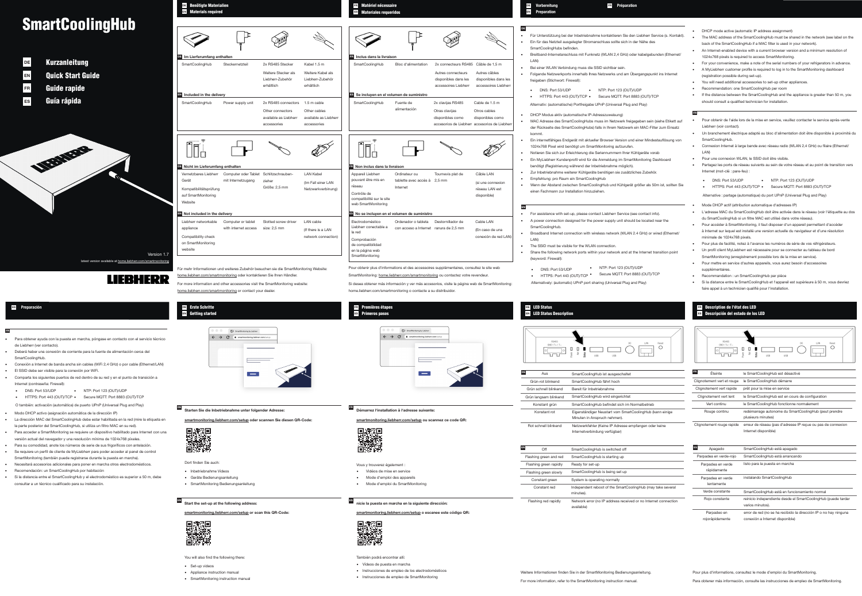Benötigte Materialien **DE**

- 
- âble de 1.5 m
- utres câbles isponibles dans le cessoires Liebhe
- ble de 1.5 m
- os cables ponibles como
- $\bigotimes$
- ible LAN i une connexion
- seau LAN est sponible)
- able LAN
- caso de una nexión de red LAN)
- 
- SmartMonitoring: home.liebherr.com/smartmonitoring ou contactez votre revendeur.
- Si desea obtener más información y ver más accesorios, visite la página web de SmartMonitoring:



home.liebherr.com/smartmonitoring o contacte a su distribuidor.

# SmartCoolingHub



- DHCP mode active (automatic IP address assignment)
- The MAC address of the SmartCoolingHub must be shared in the network (see label on the back of the SmartCoolingHub if a MAC filter is used in your network).
- An Internet-enabled device with a current browser version and a minimum resolution of 1024x768 pixels is required to access SmartMonitoring.
- For your convenience, make a note of the serial numbers of your refrigerators in advance. A MyLiebherr customer profile is required to log in to the SmartMonitoring dashboard
- (registration possible during set-up).
- You will need additional accessories to set-up other appliances.
- Recommendation: one SmartCoolingHub per room
- If the distance between the SmartCoolingHub and the appliance is greater than 50 m, you should consult a qualified technician for installation.
- **DE FR Préparation Vorbereitung**
- Für Unterstützung bei der Inbetriebnahme kontaktieren Sie den Liebherr Service (s. Kontakt). Ein für das Netzteil ausgelegter Stromanschluss sollte sich in der Nähe des
- SmartCoolingHubs befinden.
- Breitband-Internetanschluss mit Funknetz (WLAN 2,4 GHz) oder kabelgebunden (Ethernet/ LAN)
- Bei einer WLAN Verbindung muss die SSID sichtbar sein.

**DE**

- Folgende Netzwerkports innerhalb Ihres Netzwerks und am Übergangspunkt ins Internet freigeben (Stichwort: Firewall):
	- DNS: Port 53/UDP NTP: Port 123 (OUT)/UDP
- HTTPS: Port 443 (OUT)/TCP Secure MQTT: Port 8883 (OUT)/TCP Alternativ: (automatische) Portfreigabe UPnP (Universal Plug and Play)
- DHCP Modus aktiv (automatische IP-Adresszuweisung)
- MAC Adresse des SmartCoolingHubs muss im Netzwerk freigegeben sein (siehe Etikett auf der Rückseite des SmartCoolingHubs) falls in Ihrem Netzwerk ein MAC-Filter zum Einsatz kommt.
- Ein internetfähiges Endgerät mit aktueller Browser Version und einer Mindestauflösung von 1024x768 Pixel wird benötigt um SmartMonitoring aufzurufen.
- Notieren Sie sich zur Erleichterung die Seriennummern Ihrer Kühlgeräte vorab
- Ein MyLiebherr Kundenprofil wird für die Anmeldung im SmartMonitoring Dashboard benötigt (Registrierung während der Inbetriebnahme möglich).
- Zur Inbetriebnahme weiterer Kühlgeräte benötigen sie zusätzliches Zubehör.
- Empfehlung: pro Raum ein SmartCoolingHub
- Wenn der Abstand zwischen SmartCoolingHub und Kühlgerät größer als 50m ist, sollten Sie einen Fachmann zur Installation hinzuziehen.
- **EN** For assistance with set-up, please contact Liebherr Service (see contact info).
- A power connection designed for the power supply unit should be located near the SmartCoolingHub.
- Broadband Internet connection with wireless network (WLAN 2.4 GHz) or wired (Ethernet/ LAN)
- The SSID must be visible for the WLAN connection
- Share the following network ports within your network and at the Internet transition point (keyword: Firewall):
	- DNS: Port 53/UDP NTP: Port 123 (OUT)/UDP
	- HTTPS: Port 443 (OUT)/TCP Secure MQTT: Port 8883 (OUT)/TCP
	- Alternatively: (automatic) UPnP port sharing (Universal Plug and Play)

#### **FR**

- Inbetriebnahme Videos
- Geräte Bedienungsanleitung
- SmartMonitoring Bedienungsanleitung

- Instrucciones de empleo de los electrodomésticos
- Instrucciones de empleo de SmartMonitoring

**EN Preparation**

- Mode DHCP actif (attribution automatique d'adresses IP)
- L'adresse MAC du SmartCoolingHub doit être activée dans le réseau (voir l'étiquette au dos du SmartCoolingHub si un filtre MAC est utilisé dans votre réseau).
- Pour accéder à SmartMonitoring, il faut disposer d'un appareil permettant d'accéder à Internet sur lequel est installé une version actuelle du navigateur et d'une résolution minimale de 1024x768 pixels.
- Pour plus de facilité, notez à l'avance les numéros de série de vos réfrigérateurs. Un profil client MyLiebherr est nécessaire pour se connecter au tableau de bord
- SmartMonitoring (enregistrement possible lors de la mise en service). Pour mettre en service d'autres appareils, vous aurez besoin d'accessoires
- supplémentaires.
- Recommandation : un SmartCoolingHub par pièce
- Si la distance entre le SmartCoolingHub et l'appareil est supérieure à 50 m, vous devriez faire appel à un technicien qualifié pour l'installation.
- Pour obtenir de l'aide lors de la mise en service, veuillez contacter le service après-vente Liebherr (voir contact).
- Un branchement électrique adapté au bloc d'alimentation doit être disponible à proximité du SmartCoolingHub.
- Connexion Internet à large bande avec réseau radio (WLAN 2,4 GHz) ou filaire (Ethernet/ LAN)
- Pour une connexion WLAN, le SSID doit être visible.
- Partagez les ports de réseau suivants au sein de votre réseau et au point de transition vers Internet (mot-clé : pare-feu) :
	- DNS: Port 53/UDP NTP: Port 123 (OUT)/UDP
	- HTTPS: Port 443 (OUT)/TCP Secure MQTT: Port 8883 (OUT)/TCP

Alternative : partage (automatique) du port UPnP (Universal Plug and Play)

#### **FR**

Für mehr Informationen und weiteres Zubehör besuchen sie die SmartMonitoring Website: home.liebherr.com/smartmonitoring oder kontaktieren Sie Ihren Händler.

|                                            |                                                                                 |                                                                     | <b>ES</b> Materiales requeridos                                                                                       |                                                    |                                                                                                               |                                                                                                                                                                              |
|--------------------------------------------|---------------------------------------------------------------------------------|---------------------------------------------------------------------|-----------------------------------------------------------------------------------------------------------------------|----------------------------------------------------|---------------------------------------------------------------------------------------------------------------|------------------------------------------------------------------------------------------------------------------------------------------------------------------------------|
|                                            |                                                                                 |                                                                     |                                                                                                                       |                                                    |                                                                                                               |                                                                                                                                                                              |
| Im Lierferumfang enthalten                 |                                                                                 |                                                                     | <b>FR</b>                                                                                                             |                                                    |                                                                                                               |                                                                                                                                                                              |
| Steckernetzteil                            | 2x RS485 Stecker<br>Weitere Stecker als<br>Liebherr-Zubehör<br>erhältlich       | Kabel 1.5 m<br>Weitere Kabel als<br>Liebherr-Zubehör<br>erhältlich  | SmartCoolingHub                                                                                                       | Bloc d'alimentation                                | Autres connecteurs<br>disponibles dans les<br>accessoires Liebherr                                            | Autres câbles<br>disponibles dans le<br>accessoires Liebhe                                                                                                                   |
| Included in the delivery                   |                                                                                 |                                                                     | <b>ES</b>                                                                                                             |                                                    |                                                                                                               |                                                                                                                                                                              |
| Power supply unit                          | 2x RS485 connectors<br>Other connectors<br>available as Liebherr<br>accessories | 1.5 m cable<br>Other cables<br>available as Liebherr<br>accessories | SmartCoolingHub                                                                                                       | Fuente de<br>alimentación                          | 2x clavijas RS485<br>Otras clavijas<br>disponibles como                                                       | Cable de 1.5 m<br>Otros cables<br>disponibles como                                                                                                                           |
|                                            |                                                                                 |                                                                     |                                                                                                                       |                                                    |                                                                                                               |                                                                                                                                                                              |
| mit Internetzugang                         | zieher<br>Größe: 2,5 mm                                                         | <b>LAN Kabel</b><br>(Im Fall einer LAN<br>Netzwerkverbinung)        | Appareil Liebherr<br>pouvant être mis en<br>réseau<br>Contrôle de<br>compatibilité sur le site<br>web SmartMonitoring | Ordinateur ou<br>tablette avec accès à<br>Internet | Tournevis plat de<br>$2,5$ mm                                                                                 | Câble LAN<br>(si une connexion<br>réseau LAN est<br>disponible)                                                                                                              |
| Not included in the delivery               |                                                                                 |                                                                     |                                                                                                                       |                                                    |                                                                                                               |                                                                                                                                                                              |
| Computer or tablet<br>with internet access | Slotted screw driver<br>$size: 2.5$ mm                                          | LAN cable<br>(If there is a LAN<br>network connection)              | Electrodoméstico<br>Liebherr conectable a<br>la red<br>Comprobación<br>de compatibilidad<br>en la página web          | Ordenador o tableta                                | Destornillador de                                                                                             | Cable LAN<br>(En caso de una<br>conexión de red LA                                                                                                                           |
|                                            | Nicht im Lieferumfang enthalten                                                 | Computer oder Tablet Schlitzschrauben-                              |                                                                                                                       |                                                    | Inclus dans la livraison<br>Se incluyen en el volumen de suministro<br><b>ER</b> Non inclus dans la livraison | 2x connecteurs RS485 Câble de 1,5 m<br>accesorios de Liebherr accesorios de Liebh<br>ES No se incluyen en el volumen de suministro<br>con acceso a Internet ranura de 2.5 mm |

- Para obtener ayuda con la puesta en marcha, póngase en contacto con el servicio técnico de Liebherr (ver contacto).
- Deberá haber una conexión de corriente para la fuente de alimentación cerca del SmartCoolingHub.
- Conexión a Internet de banda ancha sin cables (WiFi 2,4 GHz) o por cable (Ethernet/LAN)
- El SSID debe ser visible para la conexión por WiFi.
- Comparta los siguientes puertos de red dentro de su red y en el punto de transición a Internet (contraseña: Firewall):

- O también: activación (automática) de puerto UPnP (Universal Plug and Play)
- Modo DHCP activo (asignación automática de la dirección IP)
- La dirección MAC del SmartCoolingHub debe estar habilitada en la red (mire la etiqueta en la parte posterior del SmartCoolingHub, si utiliza un filtro MAC en su red).
- Para acceder a SmartMonitoring se requiere un dispositivo habilitado para Internet con una versión actual del navegador y una resolución mínima de 1024x768 píxeles.
- Para su comodidad, anote los números de serie de sus frigoríficos con antelación. Se requiere un perfil de cliente de MyLiebherr para poder acceder al panel de control
- SmartMonitoring (también puede registrarse durante la puesta en marcha).
- Necesitará accesorios adicionales para poner en marcha otros electrodomésticos. Recomendación: un SmartCoolingHub por habitación
- Si la distancia entre el SmartCoolingHub y el electrodoméstico es superior a 50 m, debe consultar a un técnico cualificado para su instalación.

 DNS: Port 53/UDP NTP: Port 123 (OUT)/UDP

HTTPS: Port 443 (OUT)/TCP Secure MQTT: Port 8883 (OUT)/TCP

Matériel nécessaire **FR**

LIEBHERR

**EN Start the set-up at the following address:**

**smartmonitoring.liebherr.com/setup or scan this QR-Code:**



You will also find the following there

• Set-up videos

Appliance instruction manual

SmartMonitoring instruction manual



SmartMonitoring by Liebhen  $\leftarrow$   $\rightarrow$   $\mathcal{C}$  a smartmonitoring.liebherr.com/setup

**smartmonitoring.liebherr.com/setup oder scannen Sie diesen QR-Code:**



**Starten Sie die Inbetriebnahme unter folgender Adresse: DE**

Dort finden Sie auch:

Erste Schritte **DE EN** Getting started

**smartmonitoring.liebherr.com/setup o escanee este código QR:**



También podrá encontrar allí:

Vídeos de puesta en marcha

**nicie la puesta en marcha en la siguiente dirección: ES**

**FR Démarrez l'installation à l'adresse suivante:**

 $\bullet$   $\bullet$ 

**smartmonitoring.liebherr.com/setup ou scannez ce code QR:**



- Vidéos de mise en service
- Mode d'emploi des appareils
- Mode d'emploi du SmartMonitoring

Premières étapes **FR** LED Status

**ES** Primeros pasos

Vous y trouverez également

**EN** LED Status Description

**DE** Description de l'état des LED **FR**





Off **EN** SmartCoolingHub is switched off Flashing green and red SmartCoolingHub is starting up Flashing green rapidly Ready for set-up Flashing green slowly SmartCoolingHub is being set up Constant green System is operating normally Constant red Independent reboot of the SmartCoolingHub (may take several minutes). Flashing red rapidly Network error (no IP address received or no Internet connection available)

**DE** Aus **Aus** SmartCoolingHub ist ausgeschaltet

Grün-rot blinkend SmartCoolingHub fährt hoch Grün schnell blinkend Bereit für Inbetriebnahme Grün langsam blinkend SmartCoolingHub wird eingerichtet Konstant grün SmartCoolingHub befindet sich im Normalbetrieb Konstant rot Eigenständiger Neustart vom SmartCoolingHub (kann einige Minuten in Anspruch nehmen). Rot schnell blinkend Netzwerkfehler (Keine IP Adresse empfangen oder keine Internetverbindung verfügbar)

| <b>FR</b><br>Éteinte       | le SmartCoolingHub est désactivé                                                     |
|----------------------------|--------------------------------------------------------------------------------------|
| Clignotement vert et rouge | le SmartCoolingHub démarre                                                           |
| Clignotement vert rapide   | prêt pour la mise en service                                                         |
| Clignotement vert lent     | le SmartCoolingHub est en cours de configuration                                     |
| Vert continu               | le SmartCoolingHub fonctionne normalement                                            |
| Rouge continu              | redémarrage autonome du SmartCoolingHub (peut prendre<br>plusieurs minutes)          |
| Clignotement rouge rapide  | erreur de réseau (pas d'adresse IP recue ou pas de connexion<br>Internet disponible) |

| <b>ES</b><br>Apagado             | SmartCoolingHub está apagado                                                                        |
|----------------------------------|-----------------------------------------------------------------------------------------------------|
| Parpadea en verde-rojo           | SmartCoolingHub está arrancando                                                                     |
| Parpadea en verde<br>rápidamente | listo para la puesta en marcha                                                                      |
| Parpadea en verde<br>lentamente  | instalando SmartCoolingHub                                                                          |
| Verde constante                  | SmartCoolingHub está en funcionamiento normal                                                       |
| Rojo constante                   | reinicio independiente desde el SmartCoolingHub (puede tardar<br>varios minutos).                   |
| Parpadeo en<br>rojorápidamente   | error de red (no se ha recibido la dirección IP o no hay ninguna<br>conexión a Internet disponible) |
|                                  |                                                                                                     |

For more information, refer to the SmartMonitoring instruction manual.

 $\overline{O}$ 

#### **ES Preparación**

For more information and other accessories visit the SmartMonitoring website: home.liebherr.com/smartmonitoring or contact your dealer.

| SmartMonitoring by Liebherr              |
|------------------------------------------|
| یہ<br>Smartmonitoring.liebherr.com/setup |
|                                          |
|                                          |
|                                          |
| <b>LIFEBAREA</b>                         |
|                                          |
|                                          |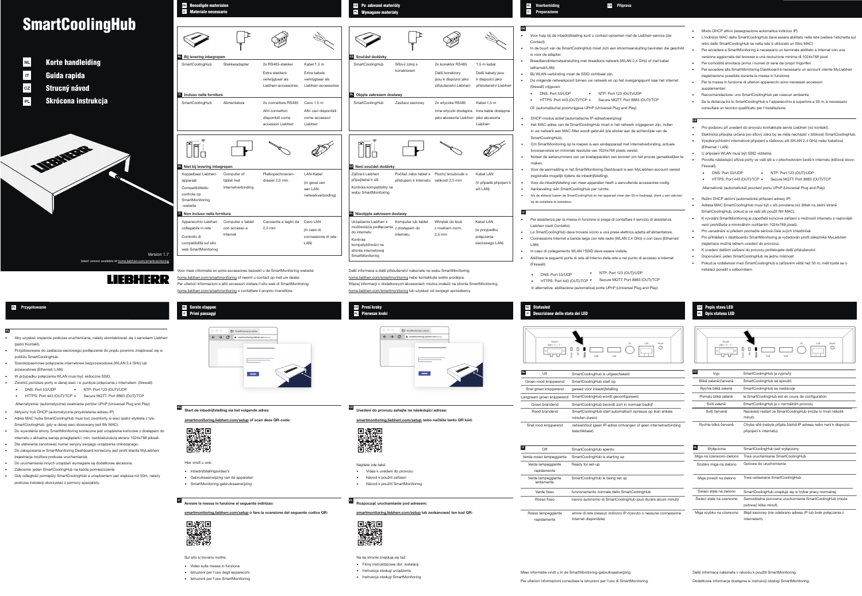Benodigde materialen

**DE**

#### Další informace a další příslušenství naleznete na webu SmartMonitoring: home.liebherr.com/smartmonitoring nebo kontaktujte svého prodejce. Więcej informacji o dodatkowych akcesoriach można znaleźć na stronie SmartMonitoring: home.liebherr.com/smartmonitoring lub uzyskać od swojego sprzedawcy.

SmartMonitoring by Liebherr

 $\sim$ 

 $\leftarrow$   $\rightarrow$   $\mathcal{C}$  **a** smartmonitoring.liebherr.com/setu

 $\circ$   $\circ$   $\circ$ 

# **SmartCoolingHub**



**IT**

Modo DHCP attivo (assegnazione automatica indirizzo IP)

- L'indirizzo MAC dello SmartCoolingHub deve essere abilitato nella rete (vedere l'etichetta sul retro dello SmartCoolingHub se nella rete è utilizzato un filtro MAC)
- Per accedere a SmartMonitoring è necessario un terminale abilitato a Internet con una versione aggiornata del browser e una risoluzione minima di 1024x768 pixel
- Per comodità annotarsi prima i numeri di serie dei propri frigoriferi
- Per accedere alla SmartMonitoring Dashboard è necessario un account cliente MyLiebherr (registrazione possibile durante la messa in funzione)
- Per la messa in funzione di ulteriori apparecchi sono necessari accessori supplementari
- Raccomandazione: uno SmartCoolingHub per ciascun ambiente
- Se la distanza tra lo SmartCoolingHub e l'apparecchio è superiore a 50 m, è necessario consultare un tecnico qualificato per l'installazione

Per assistenza per la messa in funzione si prega di contattare il servizio di assistenza

Liebherr (vedi Contatto).

 Lo SmartCoolingHub deve trovarsi vicino a una presa elettrica adatta all'alimentatore. Connessione Internet a banda larga con rete radio (WLAN 2,4 GHz) o con cavo (Ethernet/

LAN)

Abilitare le seguenti porte di rete all'interno della rete e nel punto di accesso a Internet

(Firewall):

DNS: Port 53/UDP

 HTTPS: Port 443 (OUT)/TCP Secure MQTT: Port 8883 (OUT)/TCP In alternativa: abilitazione (automatica) porte UPnP (Universal Plug and Play)

NTP: Port 123 (OUT)/UDP

**DE**

Voor hulp bij de inbedrijfstelling kunt u contact opnemen met de Liebherr-service (zie

Contact).

is voor de adapter

Breedbandinternetaansluiting met draadloos netwerk (WLAN 2,4 GHz) of met kabel

(ethernet/LAN)

Bij WLAN-verbinding moet de SSID zichtbaar zijn.

De volgende netwerkpoort binnen uw netwerk en op het overgangspunt naar het internet

(firewall) vrijgeven:

DHCP-modus actief (automatische IP-adrestoewijzing)

 Het MAC-adres van de SmartCoolingHub moet in het netwerk vrijgegeven zijn, indien in uw netwerk een MAC-filter wordt gebruikt (zie sticker aan de achterzijde van de

SmartCoolingHub).

Om SmartMonitoring op te roepen is een eindapparaat met internetverbinding, actuele

browserversie en minimale resolutie van 1024x768 pixels vereist.

Noteer de serienummers van uw koelapparaten van tevoren om het proces gemakkelijker te

maken.

Voor de aanmelding in het SmartMonitoring Dashboard is een MyLiebherr-account vereist

(registratie mogelijk tijdens de inbedrijfstelling).

Voor de inbedrijfstelling van meer apparaten heeft u aanvullende accessoires nodig.

• In de buurt van de SmartCoolingHub moet zich een stroomaansluiting bevinden die geschikt

Aanbeveling: één SmartCoolingHub per ruimte.

Als de afstand tussen de SmartCoolingHub en het apparaat meer dan 50 m bedraagt, dient u een vakman

bij de installatie te betrekken.

DNS: Port 53/UDP

Of: (automatische) poortvrijgave UPnP (Universal Plug and Play)

- Inbedrijfstellingsvideo's
- Gebruiksaanwijzing van de apparaten
- SmartMonitoring-gebruiksaanwijzing

# Primi passaggi **IT** SmartMonitoring by Liebherr  $\leftarrow$   $\rightarrow$   $\mathcal{C}$  a smartmonitoring.

 $\blacksquare$ 

HTTPS: Port 443 (OUT)/TCP Secure MQTT: Port 8883 (OUT)/TCP

NTP: Port 123 (OUT)/UDP

#### **CZ**

- Filmy instruktażowe dot. instalacji
- Instrukcja obsługi urządzenia
- Instrukcja obsługi SmartMonitoring







**NL CZ Příprava Voorbereiding**

**IT Preparazione**

## **NL** Statusled C<sub>Z</sub> Popis stavu LED **PL** Opis statusu LED

- Režim DHCP aktivní (automatické přiřazení adresy IP)
- Adresa MAC SmartCoolingHub musí být v síti povolena (viz štítek na zadní straně SmartCoolingHub, pokud je ve vaší síti použit filtr MAC).
- K vyvolání SmartMonitoring je zapotřebí koncové zařízení s možností internetu s nejnovější verzí prohlížeče a minimálním rozlišením 1024x768 pixelů.
- Pro usnadnění si předem poznačte sériová čísla svých chladniček
- Pro přihlášení v dashboardu SmartMonitoring je vyžadován profil zákazníka MyLiebherr (registrace možná během uvedení do provozu).
- K uvedení dalších zařízení do provozu potřebujete další příslušenství.
- Doporučení: jeden SmartCoolingHub na jednu místnost
- Pokud je vzdálenost mezi SmartCoolingHub a zařízením větší než 50 m, měli byste se o instalaci poradit s odborníkem.

Off **SmartCoolingHub spento** Verde-rosso lampeggiante SmartCoolingHub is starting up Verde lampeggiante rapidamente Ready for set-up Verde lampeggiante SmartCoolingHub is being set up lentamente Verde fisso funzionamento normale dello SmartCoolingHub Rosso fisso riavvio autonomo di SmartCoolingHub (può durare alcuni minuti) Rosso lampeggiante errore di rete (nessun indirizzo IP ricevuto o nessuna connessione

Uit **Number of SmartCoolingHub is uitgeschakeld** Groen-rood knipperend SmartCoolingHub start op Snel groen knipperend gereed voor inbedrijfstelling Langzaam groen knipperend SmartCoolingHub wordt geconfigureerd Groen brandend SmartCoolingHub bevindt zich in normaal bedrijf Rood brandend SmartCoolingHub start automatisch opnieuw op (kan enkele minuten duren) Snel rood knipperend netwerkfout (geen IP-adres ontvangen of geen internetverbinding beschikbaar)

- Pro podporu při uvedení do provozu kontaktujte servis Liebherr (viz kontakt).
- Elektrická přípojka určená pro síťový zdroj by se měla nacházet v blízkosti SmartCoolingHub. Vysokorychlostní internetové připojení s rádiovou sítí (WLAN 2,4 GHz) nebo kabelové
- (Ethernet / LAN)
- U připojení WLAN musí být SSID viditelné.
- Povolte následující síťové porty ve vaší síti a v přechodovém bodě k internetu (klíčové slovo: Firewall)
- DNS: Port 53/UDP NTP: Port 123 (OUT)/UDP
- HTTPS: Port 443 (OUT)/TCP Secure MQTT: Port 8883 (OUT)/TCP

Świeci stale na zielono SmartCoolingHub znajduje się w trybie pracy normalnej Świeci stale na czerwono Samodzielne ponowne uruchomienie SmartCoolingHub (może potrwać kilka minut). Miga szybko na czerwono Błąd sieciowy (nie odebrano adresu IP lub brak połączenia z

Alternativně: (automatické) povolení portu UPnP (Universal Plug and Play)

Inne kable dostepne jako akcesoria Liebherr



Další kabely jsou k dispozici jako příslušenství Liebh

- Aktywny tryb DHCP (automatyczne przydzielanie adresu IP)
- Adres MAC huba SmartCoolingHub musi być zwolniony w sieci (patrz etykieta z tyłu SmartCoolingHub, gdy w danej sieci stosowany jest filtr MAC).
- Do wywołania strony SmartMonitoring konieczne jest urządzenie końcowe z dostępem do internetu z aktualną wersją przeglądarki i min. rozdzielczością ekranu 1024x768 pikseli.
- Dla ułatwienia zanotować numer seryjny swojego urządzenia chłodzącego.
- Do zalogowania w SmartMonitoring Dashboard konieczny jest profil klienta MyLiebherr (rejestracja możliwa podczas uruchamiania).
- Do uruchamiania innych urządzeń wymagane są dodatkowe akcesoria.
- Zalecenie: jeden SmartCoolingHub na każde pomieszczenie
- Gdy odległość pomiędzy SmartCoolingHub a urządzeniem jest większa niż 50m, należy podczas instalacji skorzystać z pomocy specjalisty.
- **PL**
- Aby uzyskać wsparcie podczas uruchamiania, należy skontaktować się z serwisem Liebherr (patrz Kontakt).
- Przystosowane do zasilacza sieciowego podłączenie do prądu powinno znajdować się w pobliżu SmartCoolingHub.
- Szerokopasmowe połączenie internetowe bezprzewodowe (WLAN 2,4 GHz) lub przewodowe (Ethernet/ LAN)
- W przypadku połączenia WLAN musi być widoczne SSID.
- Zwolnić poniższe porty w danej sieci i w punkcie połączenia z internetem (firewall):
- DNS: Port 53/UDP NTP: Port 123 (OUT)/UDP
- HTTPS: Port 443 (OUT)/TCP Secure MQTT: Port 8883 (OUT)/TCP

| <b>TT</b> Materiale necessario                                                                                                              |                                                 |                                                                                   |                                                                         | <b>PL</b> Wymagane materiały                                                                                                                                                                 |                                                |                                                                                         |                                                |
|---------------------------------------------------------------------------------------------------------------------------------------------|-------------------------------------------------|-----------------------------------------------------------------------------------|-------------------------------------------------------------------------|----------------------------------------------------------------------------------------------------------------------------------------------------------------------------------------------|------------------------------------------------|-----------------------------------------------------------------------------------------|------------------------------------------------|
|                                                                                                                                             |                                                 |                                                                                   |                                                                         |                                                                                                                                                                                              |                                                |                                                                                         |                                                |
| Bij levering inbegrepen                                                                                                                     |                                                 |                                                                                   |                                                                         | cz<br>Součást dodávky                                                                                                                                                                        |                                                |                                                                                         |                                                |
| SmartCoolingHub                                                                                                                             | Stekkeradapter                                  | 2x RS485-stekker<br>Extra stekkers<br>verkrijgbaar als<br>Liebherr-accessoires    | Kabel 1.5 m<br>Extra kabels<br>verkrijgbaar als<br>Liebherr-accessoires | SmartCoolingHub                                                                                                                                                                              | Síťový zdroj s<br>konektorem                   | 2x konektor RS485<br>Další konektory<br>jsou k dispozici jako<br>příslušenství Liebherr | $1,5$ m ka<br>Další ka<br>k dispoz<br>přísluše |
| Incluso nella fornitura                                                                                                                     |                                                 |                                                                                   |                                                                         | Objęte zakresem dostawy<br>PL                                                                                                                                                                |                                                |                                                                                         |                                                |
| SmartCoolingHub                                                                                                                             | Alimentatore                                    | 2x connettore RS485<br>Altri connettori<br>disponibili come<br>accessori Liebherr | Cavo 1,5 m<br>Altri cavi disponibili<br>come accessori<br>Liebherr      | SmartCoolingHub                                                                                                                                                                              | Zasilacz sieciowy                              | 2x wtyczka RS485<br>Inne wtyczki dostępne<br>jako akcesoria Liebherr                    | Kabel 1<br>Inne kal<br>jako ako<br>Liebher     |
|                                                                                                                                             |                                                 |                                                                                   |                                                                         |                                                                                                                                                                                              |                                                |                                                                                         |                                                |
| Niet bij levering inbegrepen<br>Koppelbaar Liebherr-<br>apparaat<br>Compatibiliteits-<br>controle op<br>SmartMonitoring                     | Computer of<br>tablet met<br>internetverbinding | Platkopschroeven-<br>draaier 2,5 mm                                               | LAN-Kabel<br>(in geval van<br>een LAN-<br>netwerkverbinding)            | cz Není součást dodávky<br>Zařízení Liebherr<br>připojitelné k síti<br>Kontrola kompatibility na<br>webu SmartMonitoring                                                                     | Počítač nebo tablet s<br>přístupem k internetu | Plochý šroubovák o<br>velikosti 2,5 mm                                                  | Kabel L<br>(V přípa<br>síti LAN)               |
| -website                                                                                                                                    |                                                 |                                                                                   |                                                                         |                                                                                                                                                                                              |                                                |                                                                                         |                                                |
| Non incluso nella fornitura<br>Apparecchio Liebherr<br>collegabile in rete<br>Controllo di<br>compatibilità sul sito<br>web SmartMonitoring | Computer o tablet<br>con accesso a<br>Internet  | Cacciavite a taglio da<br>$2,5$ mm                                                | Cavo LAN<br>(in caso di<br>connessione di rete<br>LAN)                  | PL Nieobjęte zakresem dostawy<br>Urządzenie Liebherr z<br>możliwością podłączenia z dostępem do<br>do internetu<br>Kontrola<br>kompatybilności na<br>stronie internetowej<br>SmartMonitoring | Komputer lub tablet<br>internetu               | Wkrętak do śrub<br>z rowkiem rozm.<br>$2,5$ mm                                          | Kabel L/<br>(w przyp<br>połączer<br>sieciowe   |

<sup>cz</sup> Po adované materiály

Alternatywnie: (automatyczne) zwalnianie portów UPnP (Universal Plug and Play)

**IT Avviare la messa in funzione al seguente indirizzo:**

**smartmonitoring.liebherr.com/setup o fare la scansione del seguente codice QR:**



Sul sito si trovano inoltre:

Video sulla messa in funzione

- Istruzioni per l'uso degli apparecchi
- Istruzioni per l'uso SmartMonitoring

**smartmonitoring.liebherr.com/setup of scan deze QR-code:**



#### **Start de inbedrijfstelling via het volgende adres: NL**

Hier vindt u ook:

Eerste stappen **NL**

**smartmonitoring.liebherr.com/setup lub zeskanować ten kod QR:**



Na tej stronie znajdują się też:

**Rozpocząć uruchamianie pod adresem: PL**





Najdete zde také:

- Videa k uvedení do provozu Návod k použití zařízení
- Návod k použití SmartMonitoring

**PL** Pierwsze kroki

| <b>Example 3 Descrizione dello stato dei LED</b> |  |  |  |
|--------------------------------------------------|--|--|--|
|                                                  |  |  |  |
|                                                  |  |  |  |

 $\bullet$  In caso di collegamento WLAN l'SSID deve essere visibile.

 $\underbrace{\circ\text{M01T+1T-}\qquad\qquad\text{Q}}_{\text{SNB}}\qquad \underbrace{\text{Q}}_{\text{S}}\quad \underbrace{\text{Q}}_{\text{S}}\quad \underbrace{\text{Q}}_{\text{HSR}}\quad \underbrace{\text{Q}}_{\text{HSR}}\quad \underbrace{\text{Q}}_{\text{HSR}}\quad \underbrace{\text{Q}}_{\text{Q}}\quad \underbrace{\text{M}}_{\text{Q}}\quad \underbrace{\text{Poset}}_{\text{Q}}$ 

rapidamente

Internet disponibile)



internetem)

Per ulteriori informazioni consultare le istruzioni per l'uso di SmartMonitoring.

Dodatkowe informacje dostępne w instrukcji obsługi SmartMonitoring.

#### **PL Przygotowanie**

Kabel 1,5 m

1,5 m kabel

Voor meer informatie en extra accessoires bezoekt u de SmartMonitoring-website: home.liebherr.com/smartmonitoring of neemt u contact op met uw dealer. Per ulteriori informazioni e altri accessori visitare il sito web di SmartMonitoring: home.liebherr.com/smartmonitoring o contattare il proprio rivenditore.

Kabel LAN (w przypadku

połączenia sieciowego LAN)

**CZ** První kroky **CZ** Statusled



Kabel LAN (V případě připojení k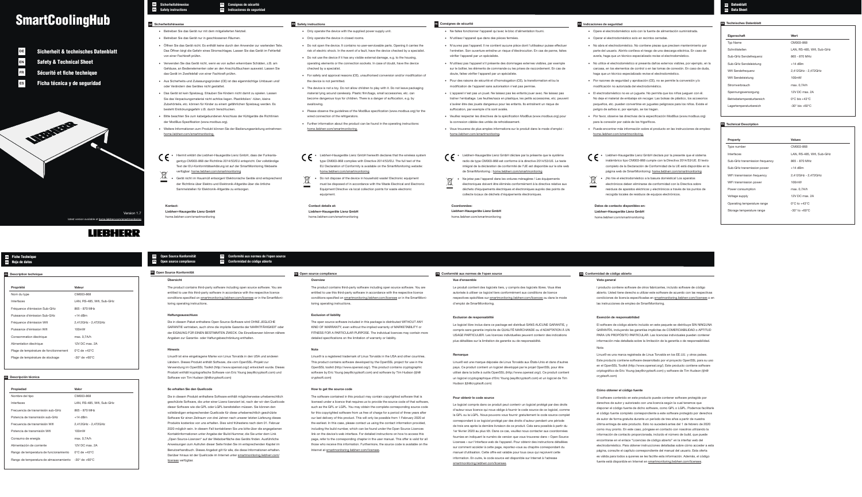autorisés à utiliser ce logiciel tiers conformément aux conditions de licence

Le produit contient des logiciels tiers, y compris des logiciels libres. Vous êtes respectives spécifiées sur smartmonitoring.liebherr.com/licences ou dans le mode d'emploi de SmartMonitoring.

#### **Exclusion de responsabilité**

Le logiciel libre inclus dans ce package est distribué SANS AUCUNE GARANTIE, y compris sans garantie implicite de QUALITÉ MARCHANDE ou d'ADAPTATION À UN USAGE PARTICULIER. Les licences individuelles peuvent contenir des indications plus détaillées sur la limitation de garantie ou de responsabilité.

#### **Remarque**

Linux® est une marque déposée de Linus Torvalds aux États-Unis et dans d'autres pays. Ce produit contient un logiciel développé par le projet OpenSSL pour être utilisé dans la boîte à outils OpenSSL (http://www.openssl.org/). Ce produit contient un logiciel cryptographique d'Eric Young (eay@cryptsoft.com) et un logiciel de Tim Hudson (tjh@cryptsoft.com)

#### **Pour obtenir le code source**

Le logiciel compris dans ce produit peut contenir un logiciel protégé par des droits

RS-485, Wifi, Sub-GHz 870 MHz Wifi Sendefrequenz 2,412GHz - 2,472GHz  $0,7A/h$ DC max. 2A

 $bis +43^{\circ}C$  $bis +60^{\circ}C$ 

RS-485, Wifi, Sub-GHz 870 MHz  $PGHz - 2,472GHz$ OC max. 2A Operating temperature range 0°C to +43°C  $to +60^{\circ}C$ 

Linux® ist eine eingetragene Marke von Linus Torvalds in den USA und anderen Ländern. Dieses Produkt enthält Software, die vom OpenSSL-Projekt zur Verwendung im OpenSSL Toolkit (http://www.openssl.org/) entwickelt wurde. Dieses Produkt enthält kryptografische Software von Eric Young (eay@cryptsoft.com) und Software von Tim Hudson (tih@cryptsoft.com)

Die in diesem Produkt enthaltene Software enthält möglicherweise urheberrechtlich geschützte Software, die unter einer Lizenz lizenziert ist, nach der wir den Quellcode dieser Software wie die GPL oder LGPL bereitstellen müssen. Sie können den vollständigen entsprechenden Quellcode für diese urheberrechtlich geschützte Software für einen Zeitraum von drei Jahren nach unserer letzten Lieferung dieses Produkts kostenlos von uns erhalten. Dies wird frühestens nach dem 01. Februar 2020 möglich sein. In diesem Fall kontaktieren Sie uns bitte über die angegebenen Kontaktinformationen unter Angabe der Build-Nummer, die Sie unter dem Link "Open Source-Lizenzen" auf der Weboberfläche des Geräts finden. Ausführliche Anweisungen zum Aufrufen dieser Seite finden Sie im entsprechenden Kapitel im Benutzerhandbuch. Dieses Angebot gilt für alle, die diese Informationen erhalten. Darüber hinaus ist der Quellcode im Internet unter smartmonitoring.liebherr.com/ licenses verfügbar.

d'auteur sous licence qui nous oblige à fournir le code source de ce logiciel, comme la GPL ou la LGPL. Nous pouvons vous fournir gratuitement le code source complet correspondant à ce logiciel protégé par des droits d'auteur pendant une période de trois ans après la dernière livraison de ce produit. Cela sera possible à partir du 1er février 2020 au plus tôt. Dans ce cas, veuillez nous contacter aux coordonnées fournies en indiquant le numéro de version que vous trouverez dans « Open Source Licenses » sur l'interface web de l'appareil. Pour obtenir des instructions détaillées sur comment accéder à cette page, reportez-vous au chapitre correspondant du manuel d'utilisation. Cette offre est valable pour tous ceux qui reçoivent cette information. En outre, le code source est disponible sur Internet à l'adresse smartmonitoring.liebherr.com/licenses.

The product contains third-party software including open source software. You are entitled to use this third-party software in accordance with the respective licence conditions specified on smartmonitoring.liebherr.com/licenses or in the SmartMonitoring operating instructions.

#### **Haftungsausschluss**

Die in diesem Paket enthaltene Open Source-Software wird OHNE JEGLICHE GARANTIE vertrieben, auch ohne die implizite Garantie der MARKTFÄHIGKEIT oder der EIGNUNG FÜR EINEN BESTIMMTEN ZWECK. Die Einzellizenzen können nähere Angaben zur Garantie- oder Haftungsbeschränkung enthalten.

#### **Hinweis**

#### **So erhalten Sie den Quellcode**

The software contained in this product may contain copyrighted software that is licensed under a licence that requires us to provide the source code of that software, such as the GPL or LGPL. You may obtain the complete corresponding source code for this copyrighted software from us free of charge for a period of three years after our last delivery of this product. This will only be possible from 1 February 2020 at the earliest. In this case, please contact us using the contact information provided, including the build number, which can be found under the Open Source Licences link on the device's web interface. For detailed instructions on how to access this page, refer to the corresponding chapter in the user manual. This offer is valid for all those who receive this information. Furthermore, the source code is available on the Internet at smartmonitoring.liebherr.com/licenses.

#### **DE Open Source Konformität**

**Übersich** 

#### **Vue d'ensemble FR Conformité aux normes de l'open source EN Open source compliance ES Conformidad de código abierto**

#### **Vista general**

l producto contiene software de otros fabricantes, incluido software de código abierto. Usted tiene derecho a utilizar este software de acuerdo con las respectivas condiciones de licencia especificadas en smartmonitoring.liebherr.com/licenses o en las instrucciones de empleo de SmartMonitoring.

#### **Exención de responsabilidad**

El software de código abierto incluido en este paquete se distribuye SIN NINGUNA GARANTÍA, incluyendo las garantías implícitas de COMERCIABILIDAD o APTITUD PARA UN PROPÓSITO PARTICULAR. Las licencias individuales pueden contener información más detallada sobre la limitación de la garantía o de responsabilidad.

Nota

Linux® es una marca registrada de Linus Torvalds en los EE.UU. y otros países. Este producto contiene software desarrollado por el proyecto OpenSSL para su uso en el OpenSSL Toolkit (http://www.openssl.org/). Este producto contiene software criptográfico de Eric Young (eay@cryptsoft.com) y software de Tim Hudson (tjh@ cryptsoft.com)

#### **Cómo obtener el código fuente**

El software contenido en este producto puede contener software protegido por derechos de autor y autorizado con una licencia según la cual tenemos que disponer el código fuente de dicho software, como GPL o LGPL. Podemos facilitarle el código fuente completo correspondiente a este software protegido por derechos de autor de forma gratuita durante un período de tres años a partir de nuestra última entrega de este producto. Esto no sucederá antes del 1 de febrero de 2020 como muy pronto. En este caso, póngase en contacto con nosotros utilizando la información de contacto proporcionada, incluido el número de build, que puede encontrarse en el enlace "Licencias de código abierto" en la interfaz web del electrodoméstico. Para obtener instrucciones detalladas sobre cómo acceder a esta página, consulte el capítulo correspondiente del manual del usuario. Esta oferta es válida para todos a quienes se les facilite esta información. Además, el código fuente está disponible en Internet en smartmonitoring.liebherr.com/licenses.

#### **Overview**

The product contains third-party software including open source software. You are entitled to use this third-party software in accordance with the respective licence conditions specified on smartmonitoring.liebherr.com/licenses or in the SmartMonitoring operating instructions.

#### **Exclusion of liability**

The open source software included in this package is distributed WITHOUT ANY KIND OF WARRANTY, even without the implied warranty of MARKETABILITY or FITNESS FOR A PARTICULAR PURPOSE. The individual licences may contain more detailed specifications on the limitation of warranty or liability.

#### **Note**

Linux® is a registered trademark of Linus Torvalds in the USA and other countries. This product contains software developed by the OpenSSL project for use in the OpenSSL toolkit (http://www.openssl.org/). This product contains cryptographic software by Eric Young (eay@cryptsoft.com) and software by Tim Hudson (tjh@ cryptsoft.com)

#### **How to get the source code**

- Betreiben Sie das Gerät nur mit dem mitgelieferten Netzteil.
- Betreiben Sie das Gerät nur in geschlossenen Räumen.
- Öffnen Sie das Gerät nicht. Es enthält keine durch den Anwender zur wartenden Teile. Das Öffnen birgt die Gefahr eines Stromschlages. Lassen Sie das Gerät im Fehlerfall von einer Fachkraft prüfen.

- Verwenden Sie das Gerät nicht, wenn es von außen erkennbare Schäden, z.B. am Gehäuse, an Bedienelementen oder an den Anschlußbuchsen ausweist. Lassen Sie das Gerät im Zweifelsfall von einer Fachkraft prüfen.
- Aus Sicherheits-und Zulassungsgründen (CE) ist das eigenmächtige Umbauen und/ oder Verändern des Gerätes nicht gestattet.
- Das Gerät ist kein Spielzeug. Erlauben Sie Kindern nicht damit zu spielen. Lassen Sie das Verpackungsmaterial nicht achtlos liegen. Plastikfolien/ -tüten, kleine Zubehörteile, etc. können für Kinder zu einem gefährlichen Spielzeug werden. Es besteht Erstickungsgefahr z.B. durch Verschlucken.
- Bitte beachten Sie zum kabelgebundenen Anschluss der Kühlgeräte die Richtlinien der ModBus-Spezifikation (www.modbus.org).
- Weitere Informationen zum Produkt können Sie der Bedienungsanleitung entnehmen: home.liebherr.com/smartmonitoring.

#### **Consignes de sécurité FR**

- Only operate the device with the supplied power supply unit.
- Only operate the device in closed rooms
- Do not open the device. It contains no user-serviceable parts. Opening it carries the risk of electric shock. In the event of a fault, have the device checked by a specialist.
- $\bullet$  Do not use the device if it has any visible external damage, e.g. to the housing. operating elements or the connection sockets. In case of doubt, have the device checked by a specialist.
- For safety and approval reasons (CE), unauthorised conversion and/or modification of the device is not permitted.
- The device is not a toy. Do not allow children to play with it. Do not leave packaging material lying around carelessly. Plastic film/bags, small accessories, etc. can become dangerous toys for children. There is a danger of suffocation, e.g. by swallowing.
- Please observe the guidelines of the ModBus specification (www.modbus.org) for the wired connection of the refrigerators.
- Further information about the product can be found in the operating instructions: home.liebherr.com/smartmonitoring.
- Ne faites fonctionner l'appareil qu'avec le bloc d'alimentation fourni.
- N'utilisez l'appareil que dans des pièces fermées.
- N'ouvrez pas l'appareil. Il ne contient aucune pièce dont l'utilisateur puisse effectuer l'entretien. Son ouverture entraîne un risque d'électrocution. En cas de panne, faites vérifier l'appareil par un spécialiste.
- N'utilisez pas l'appareil s'il présente des dommages externes visibles, par exemple sur le boîtier, les éléments de commande ou les prises de raccordement. En cas de doute, faites vérifier l'appareil par un spécialiste.
- Pour des raisons de sécurité et d'homologation (CE), la transformation et/ou la modification de l'appareil sans autorisation n'est pas permise.
- L'appareil n'est pas un jouet. Ne laissez pas les enfants jouer avec. Ne laissez pas traîner l'emballage. Les feuilles/sacs en plastique, les petits accessoires, etc. peuvent s'avérer être des jouets dangereux pour les enfants. Ils entraînent un risque de suffocation, par exemple s'ils sont avalés.
- Veuillez respecter les directives de la spécification ModBus (www.modbus.org) pour la connexion câblée des unités de refroidissement.
- Vous trouverez de plus amples informations sur le produit dans le mode d'emploi : home.liebherr.com/smartmonitoring.
- 
- Do not dispose of the device in household waste! Electronic equipment must be disposed of in accordance with the Waste Electrical and Electronic Equipment Directive via local collection points for waste electronic
- Liebherr-Hausgeräte Lienz GmbH déclare par la présente que le système radio de type CM003-868 est conforme à la directive 2014/53/UE. Le texte intégral de la déclaration de conformité de l'UE est disponible sur le site web de SmartMonitoring : home.liebherr.com/smartmonitoring
- Ne jetez pas l'appareil dans les ordures ménagères ! Les équipements électroniques doivent être éliminés conformément à la directive relative aux déchets d'équipements électriques et électroniques auprès des points de collecte locaux de déchets d'équipements électroniques.

#### **EN Safety instructions ES Indicaciones de seguridad Technisches Datenblatt**

#### **Description technique FR**

#### **Technical Description EN**

#### **Descripción técnica ES**

| Eigenschaft               | Wert                        |
|---------------------------|-----------------------------|
| <b>Typ Name</b>           | CM003-868                   |
| Schnittstellen            | LAN. RS-48                  |
| Sub-GHz Sendefrequenz     | 865 - 870 M                 |
| Sub-GHz Sendeleistung     | $+14$ dBm                   |
| Wifi Sendefrequenz        | 2.412GHz -                  |
| Wifi Sendeleistung        | 100mW                       |
| Stromverbrauch            | max. 0,7A/h                 |
| Spannungsversorgung       | 12V DC ma:                  |
| Betriebstemperaturbereich | $0^{\circ}$ C bis +43       |
| Lagertemperaturbereich    | $-30^\circ$ bis $+60^\circ$ |

| Propiedad                              | Valor                            |
|----------------------------------------|----------------------------------|
| Nombre del tipo                        | CM003-868                        |
| Interfaces                             | LAN, RS-485, Wifi, Sub-GHz       |
| Frecuencia de transmisión sub-GHz      | 865 - 870 MHz                    |
| Potencia de transmisión sub-GHz        | $+14$ dBm                        |
| Frecuencia de transmisión Wifi         | 2,412GHz - 2,472GHz              |
| Potencia de transmisión Wifi           | 100mW                            |
| Consumo de energía                     | max. 0,7A/h                      |
| Alimentación de corriente              | 12V DC max, 2A                   |
| Rango de temperatura de funcionamiento | $0^{\circ}$ C de $+43^{\circ}$ C |
| Rango de temperatura de almacenamiento | $-30^\circ$ de $+60^\circ$ C     |

#### **Safety Instructions EN DE Sicherheitshinweise EN Safety instructions**

| Propriété                              | Valeur                           |
|----------------------------------------|----------------------------------|
| Nom du type                            | CM003-868                        |
| Interfaces                             | LAN, RS-485, Wifi, Sub-GHz       |
| Fréquence d'émission Sub-GHz           | 865 - 870 MHz                    |
| Puissance d'émission Sub-GHz           | $+14$ dBm                        |
| Fréquence d'émission Wifi              | 2,412GHz - 2,472GHz              |
| Puissance d'émission Wifi              | 100mW                            |
| Consommation électrique                | max. 0,7A/h                      |
| Alimentation électrique                | 12V DC max, 2A                   |
| Plage de température de fonctionnement | $0^{\circ}$ C de $+43^{\circ}$ C |
| Plage de température de stockage       | $-30^\circ$ de $+60^\circ$ C     |
|                                        |                                  |

- Opere el electrodoméstico solo con la fuente de alimentación suministrada.
- Operar el electrodoméstico solo en recintos cerradas.
- No abra el electrodoméstico. No contiene piezas que precisen mantenimiento por parte del usuario. Abrirlo conlleva el riesgo de una descarga eléctrica. En caso de avería, haga que un técnico especializado revise el electrodoméstico.
- No utilice el electrodoméstico si presenta daños externos visibles, por ejemplo, en la carcasa, en los elementos de control o en las tomas de conexión. En caso de duda, haga que un técnico especializado revise el electrodoméstico.
- Por razones de seguridad y aprobación (CE), no se permite la conversión y/o modificación no autorizada del electrodoméstico.
- El electrodoméstico no es un juguete. No permita que los niños jueguen con él. No deje el material de embalaje sin recoger. Las bolsas de plástico, los accesorios pequeños, etc. pueden convertirse en juguetes peligrosos para los niños. Existe el peligro de asfixia si, por ejemplo, se los tragan.
- $\bullet$  Por favor, observe las directivas de la especificación ModBus (www.modbus.org) para la conexión por cable de los frigoríficos.
- Puede encontrar más información sobre el producto en las instrucciones de empleo: home.liebherr.com/smartmonitoring.
- Liebherr-Hausgeräte Lienz GmbH declara por la presente que el sistema inalámbrico tipo CM003-868 cumple con la Directiva 2014/53/UE. El texto completo de la Declaración de Conformidad de la UE está disponible en la página web de SmartMonitoring: home.liebherr.com/smartmonitoring
- ¡No tire el electrodoméstico a la basura doméstica! Los aparatos electrónicos deben eliminarse de conformidad con la Directiva sobre residuos de aparatos eléctricos y electrónicos a través de los puntos de recogida locales de residuos de equipos electrónicos.

#### Hiermit erklärt die Liebherr-Hausgeräte Lienz GmbH, dass der Funkanlagentyp CM003-868 der Richtlinie 2014/53/EU entspricht. Der vollständige Text der EU-Konformitätserklärung ist auf der SmartMonitoring Webseite verfügbar: home.liebherr.com/smartmonitoring



Gerät nicht im Hausmüll entsorgen! Elektronische Geräte sind entsprechend

der Richtlinie über Elektro-und Elektronik-Altgeräte über die örtliche Sammelstellen für Elektronik-Altgeräte zu entsorgen.

 Liebherr-Hausgeräte Lienz GmbH herewith declares that the wireless system type CM003-868 complies with Directive 2014/53/EU. The full text of the EU Declaration of Conformity is available on the SmartMonitoring website: home.liebherr.com/smartmonitoring

 $\boxtimes$ 

#### **Kontact:**

**Liebherr-Hausgeräte Lienz GmbH** home.liebherr.com/smartmonitoring

equipment. **Contact details at:**

#### **Coordonnées:**

**Liebherr-Hausgeräte Lienz GmbH** home.liebherr.com/smartmonitoring

**Liebherr-Hausgeräte Lienz GmbH** home.liebherr.com/smartmonitoring

**Datos de contacto disponibles en: Liebherr-Hausgeräte Lienz GmbH** home.liebherr.com/smartmonitoring

# **SmartCoolingHub**

Sicherheit & technisches Datenblatt

Safety & Technical Sheet

- Sécurité et fiche technique
- Ficha técnica y de seguridad

# **TABLES** Version 1. latest version available at home.liebherr.com/smartmon

# LIEBHERR

**DE**

**EN**

**FR**

**ES**

# **EN** Data Sheet

**DE** Datenblatt

#### **DE** Technisches Datenblatt

**ES Conformidad de código abierto FR Conformité aux normes de l'open source**

#### **EN Open source compliance DE Open Source Konformität**

**ES Indicaciones de seguridad FR Consignes de sécurité**

#### Fiche Technique **ES** Hoja de datos **FR**

## **DE Sicherheitshinweise**

| <b>Property</b>                | <b>Values</b>                  |
|--------------------------------|--------------------------------|
| Type number                    | CM003-868                      |
| Interfaces                     | LAN, RS-48                     |
| Sub-GHz transmission frequency | 865 - 870 M                    |
| Sub-GHz transmission power     | $+14$ dBm                      |
| WiFi transmission frequency    | 2,412GHz -                     |
| WiFi transmission power        | 100mW                          |
| Power consumption              | max. 0,7A/h                    |
| Voltage supply                 | 12V DC max                     |
| Operating temperature range    | $0^{\circ}$ C to $+43^{\circ}$ |
| Storage temperature range      | $-30^\circ$ to $+60^\circ$     |
|                                |                                |